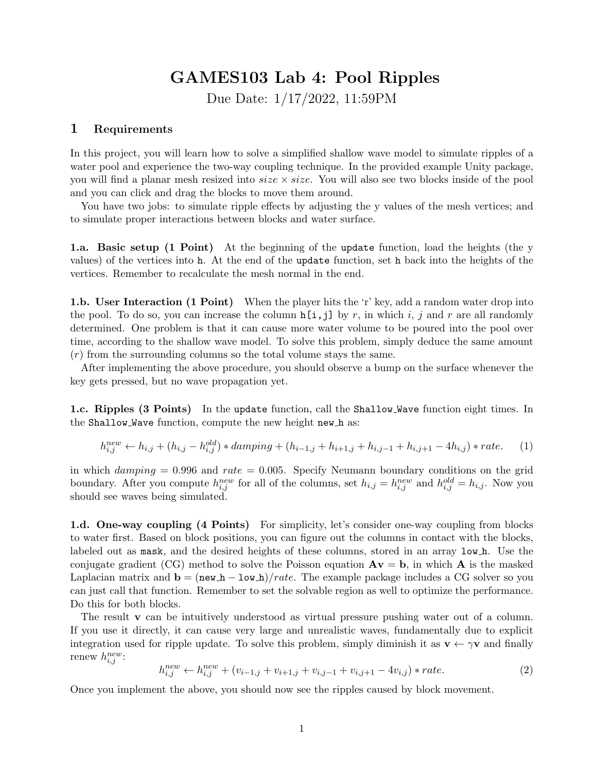## GAMES103 Lab 4: Pool Ripples

Due Date: 1/17/2022, 11:59PM

## 1 Requirements

In this project, you will learn how to solve a simplified shallow wave model to simulate ripples of a water pool and experience the two-way coupling technique. In the provided example Unity package, you will find a planar mesh resized into  $size \times size$ . You will also see two blocks inside of the pool and you can click and drag the blocks to move them around.

You have two jobs: to simulate ripple effects by adjusting the y values of the mesh vertices; and to simulate proper interactions between blocks and water surface.

1.a. Basic setup (1 Point) At the beginning of the update function, load the heights (the y values) of the vertices into h. At the end of the update function, set h back into the heights of the vertices. Remember to recalculate the mesh normal in the end.

**1.b.** User Interaction (1 Point) When the player hits the 'r' key, add a random water drop into the pool. To do so, you can increase the column  $h[i,j]$  by r, in which i, j and r are all randomly determined. One problem is that it can cause more water volume to be poured into the pool over time, according to the shallow wave model. To solve this problem, simply deduce the same amount  $(r)$  from the surrounding columns so the total volume stays the same.

After implementing the above procedure, you should observe a bump on the surface whenever the key gets pressed, but no wave propagation yet.

1.c. Ripples (3 Points) In the update function, call the Shallow Wave function eight times. In the Shallow Wave function, compute the new height new h as:

$$
h_{i,j}^{new} \leftarrow h_{i,j} + (h_{i,j} - h_{i,j}^{old}) * damping + (h_{i-1,j} + h_{i+1,j} + h_{i,j-1} + h_{i,j+1} - 4h_{i,j}) * rate.
$$
 (1)

in which  $damping = 0.996$  and  $rate = 0.005$ . Specify Neumann boundary conditions on the grid boundary. After you compute  $h_{i,j}^{new}$  for all of the columns, set  $h_{i,j} = h_{i,j}^{new}$  and  $h_{i,j}^{old} = h_{i,j}$ . Now you should see waves being simulated.

1.d. One-way coupling (4 Points) For simplicity, let's consider one-way coupling from blocks to water first. Based on block positions, you can figure out the columns in contact with the blocks, labeled out as mask, and the desired heights of these columns, stored in an array low h. Use the conjugate gradient (CG) method to solve the Poisson equation  $A\mathbf{v} = \mathbf{b}$ , in which A is the masked Laplacian matrix and  $\mathbf{b} = (\mathbf{new} \cdot \mathbf{h} - \mathbf{low} \cdot \mathbf{h})/rate$ . The example package includes a CG solver so you can just call that function. Remember to set the solvable region as well to optimize the performance. Do this for both blocks.

The result **v** can be intuitively understood as virtual pressure pushing water out of a column. If you use it directly, it can cause very large and unrealistic waves, fundamentally due to explicit integration used for ripple update. To solve this problem, simply diminish it as  $\mathbf{v} \leftarrow \gamma \mathbf{v}$  and finally renew  $h_{i,j}^{new}$ :

$$
h_{i,j}^{new} \leftarrow h_{i,j}^{new} + (v_{i-1,j} + v_{i+1,j} + v_{i,j-1} + v_{i,j+1} - 4v_{i,j}) * rate.
$$
\n
$$
(2)
$$

Once you implement the above, you should now see the ripples caused by block movement.